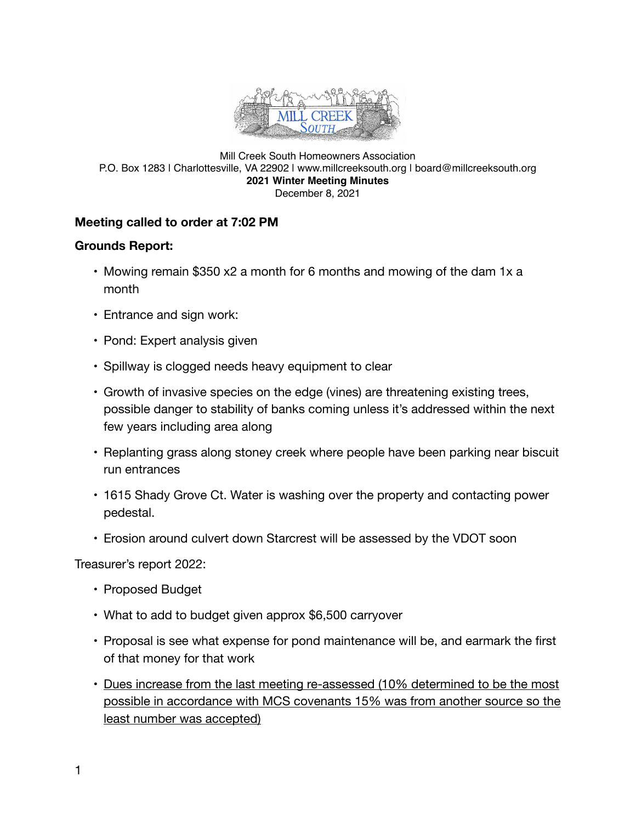

#### Mill Creek South Homeowners Association P.O. Box 1283 | Charlottesville, VA 22902 | www.millcreeksouth.org | board@millcreeksouth.org **2021 Winter Meeting Minutes** December 8, 2021

### **Meeting called to order at 7:02 PM**

#### **Grounds Report:**

- Mowing remain \$350 x2 a month for 6 months and mowing of the dam 1x a month
- Entrance and sign work:
- Pond: Expert analysis given
- Spillway is clogged needs heavy equipment to clear
- Growth of invasive species on the edge (vines) are threatening existing trees, possible danger to stability of banks coming unless it's addressed within the next few years including area along
- Replanting grass along stoney creek where people have been parking near biscuit run entrances
- 1615 Shady Grove Ct. Water is washing over the property and contacting power pedestal.
- Erosion around culvert down Starcrest will be assessed by the VDOT soon

Treasurer's report 2022:

- Proposed Budget
- What to add to budget given approx \$6,500 carryover
- Proposal is see what expense for pond maintenance will be, and earmark the first of that money for that work
- Dues increase from the last meeting re-assessed (10% determined to be the most possible in accordance with MCS covenants 15% was from another source so the least number was accepted)